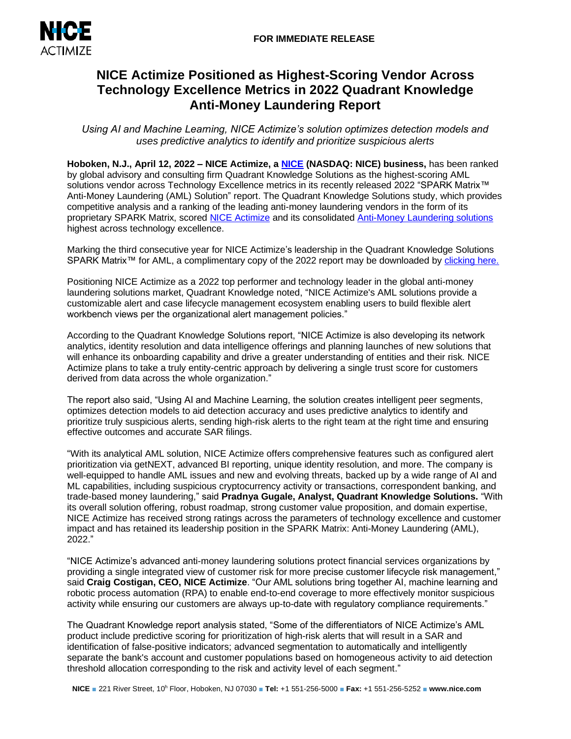

# **NICE Actimize Positioned as Highest-Scoring Vendor Across Technology Excellence Metrics in 2022 Quadrant Knowledge Anti-Money Laundering Report**

*Using AI and Machine Learning, NICE Actimize's solution optimizes detection models and uses predictive analytics to identify and prioritize suspicious alerts*

**Hoboken, N.J., April 12, 2022 – NICE Actimize, a [NICE](https://www.nice.com/?utm_source=web&utm_medium=pr) (NASDAQ: NICE) business,** has been ranked by global advisory and consulting firm Quadrant Knowledge Solutions as the highest-scoring AML solutions vendor across Technology Excellence metrics in its recently released 2022 "SPARK Matrix™ Anti-Money Laundering (AML) Solution" report. The Quadrant Knowledge Solutions study, which provides competitive analysis and a ranking of the leading anti-money laundering vendors in the form of its proprietary SPARK Matrix, scored [NICE Actimize](http://www.niceactimize.com/?utm_source=PR&utm_medium=PR&utm_campaign=PR) and its consolidated [Anti-Money Laundering solutions](https://www.niceactimize.com/anti-money-laundering/) highest across technology excellence.

Marking the third consecutive year for NICE Actimize's leadership in the Quadrant Knowledge Solutions SPARK Matrix<sup>™</sup> for AML, a complimentary copy of the 2022 report may be downloaded by [clicking here.](https://info.nice.com/AML_contentLP_Spark-Matrix-Report_LP.html)

Positioning NICE Actimize as a 2022 top performer and technology leader in the global anti-money laundering solutions market, Quadrant Knowledge noted, "NICE Actimize's AML solutions provide a customizable alert and case lifecycle management ecosystem enabling users to build flexible alert workbench views per the organizational alert management policies."

According to the Quadrant Knowledge Solutions report, "NICE Actimize is also developing its network analytics, identity resolution and data intelligence offerings and planning launches of new solutions that will enhance its onboarding capability and drive a greater understanding of entities and their risk. NICE Actimize plans to take a truly entity-centric approach by delivering a single trust score for customers derived from data across the whole organization."

The report also said, "Using AI and Machine Learning, the solution creates intelligent peer segments, optimizes detection models to aid detection accuracy and uses predictive analytics to identify and prioritize truly suspicious alerts, sending high-risk alerts to the right team at the right time and ensuring effective outcomes and accurate SAR filings.

"With its analytical AML solution, NICE Actimize offers comprehensive features such as configured alert prioritization via getNEXT, advanced BI reporting, unique identity resolution, and more. The company is well-equipped to handle AML issues and new and evolving threats, backed up by a wide range of AI and ML capabilities, including suspicious cryptocurrency activity or transactions, correspondent banking, and trade-based money laundering," said **Pradnya Gugale, Analyst, Quadrant Knowledge Solutions.** "With its overall solution offering, robust roadmap, strong customer value proposition, and domain expertise, NICE Actimize has received strong ratings across the parameters of technology excellence and customer impact and has retained its leadership position in the SPARK Matrix: Anti-Money Laundering (AML), 2022."

"NICE Actimize's advanced anti-money laundering solutions protect financial services organizations by providing a single integrated view of customer risk for more precise customer lifecycle risk management," said **Craig Costigan, CEO, NICE Actimize**. "Our AML solutions bring together AI, machine learning and robotic process automation (RPA) to enable end-to-end coverage to more effectively monitor suspicious activity while ensuring our customers are always up-to-date with regulatory compliance requirements."

The Quadrant Knowledge report analysis stated, "Some of the differentiators of NICE Actimize's AML product include predictive scoring for prioritization of high-risk alerts that will result in a SAR and identification of false-positive indicators; advanced segmentation to automatically and intelligently separate the bank's account and customer populations based on homogeneous activity to aid detection threshold allocation corresponding to the risk and activity level of each segment."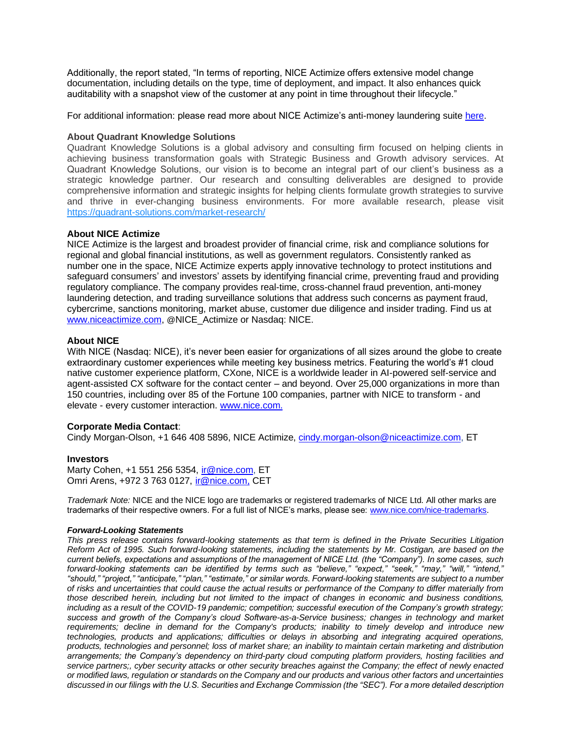Additionally, the report stated, "In terms of reporting, NICE Actimize offers extensive model change documentation, including details on the type, time of deployment, and impact. It also enhances quick auditability with a snapshot view of the customer at any point in time throughout their lifecycle."

For additional information: please read more about NICE Actimize's anti-money laundering suite [here.](https://www.niceactimize.com/anti-money-laundering/)

## **About Quadrant Knowledge Solutions**

Quadrant Knowledge Solutions is a global advisory and consulting firm focused on helping clients in achieving business transformation goals with Strategic Business and Growth advisory services. At Quadrant Knowledge Solutions, our vision is to become an integral part of our client's business as a strategic knowledge partner. Our research and consulting deliverables are designed to provide comprehensive information and strategic insights for helping clients formulate growth strategies to survive and thrive in ever-changing business environments. For more available research, please visit <https://quadrant-solutions.com/market-research/>

## **About NICE Actimize**

NICE Actimize is the largest and broadest provider of financial crime, risk and compliance solutions for regional and global financial institutions, as well as government regulators. Consistently ranked as number one in the space, NICE Actimize experts apply innovative technology to protect institutions and safeguard consumers' and investors' assets by identifying financial crime, preventing fraud and providing regulatory compliance. The company provides real-time, cross-channel fraud prevention, anti-money laundering detection, and trading surveillance solutions that address such concerns as payment fraud, cybercrime, sanctions monitoring, market abuse, customer due diligence and insider trading. Find us at [www.niceactimize.com,](http://www.niceactimize.com/) @NICE\_Actimize or Nasdaq: NICE.

## **About NICE**

With NICE (Nasdaq: NICE), it's never been easier for organizations of all sizes around the globe to create extraordinary customer experiences while meeting key business metrics. Featuring the world's #1 cloud native customer experience platform, CXone, NICE is a worldwide leader in AI-powered self-service and agent-assisted CX software for the contact center – and beyond. Over 25,000 organizations in more than 150 countries, including over 85 of the Fortune 100 companies, partner with NICE to transform - and elevate - every customer interaction. [www.nice.com.](hhttps://www.nice.com/?utm_source=web&utm_medium=pr)

### **Corporate Media Contact**:

Cindy Morgan-Olson, +1 646 408 5896, NICE Actimize, [cindy.morgan-olson@niceactimize.com,](mailto:cindy.morgan-olson@niceactimize.com) ET

### **Investors**

Marty Cohen, +1 551 256 5354, [ir@nice.com,](mailto:ir@nice.com) ET Omri Arens, +972 3 763 0127, [ir@nice.com,](mailto:ir@nice.com) CET

*Trademark Note:* NICE and the NICE logo are trademarks or registered trademarks of NICE Ltd. All other marks are trademarks of their respective owners. For a full list of NICE's marks, please see: [www.nice.com/nice-trademarks.](http://www.nice.com/nice-trademarks)

### *Forward-Looking Statements*

*This press release contains forward-looking statements as that term is defined in the Private Securities Litigation Reform Act of 1995. Such forward-looking statements, including the statements by Mr. Costigan, are based on the current beliefs, expectations and assumptions of the management of NICE Ltd. (the "Company"). In some cases, such forward-looking statements can be identified by terms such as "believe," "expect," "seek," "may," "will," "intend," "should," "project," "anticipate," "plan," "estimate," or similar words. Forward-looking statements are subject to a number of risks and uncertainties that could cause the actual results or performance of the Company to differ materially from those described herein, including but not limited to the impact of changes in economic and business conditions,*  including as a result of the COVID-19 pandemic; competition; successful execution of the Company's growth strategy; *success and growth of the Company's cloud Software-as-a-Service business; changes in technology and market requirements; decline in demand for the Company's products; inability to timely develop and introduce new technologies, products and applications; difficulties or delays in absorbing and integrating acquired operations, products, technologies and personnel; loss of market share; an inability to maintain certain marketing and distribution arrangements; the Company's dependency on third-party cloud computing platform providers, hosting facilities and service partners;, cyber security attacks or other security breaches against the Company; the effect of newly enacted or modified laws, regulation or standards on the Company and our products and various other factors and uncertainties discussed in our filings with the U.S. Securities and Exchange Commission (the "SEC"). For a more detailed description*